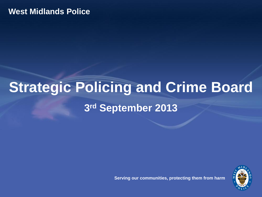# **Strategic Policing and Crime Board 3 rd September 2013**

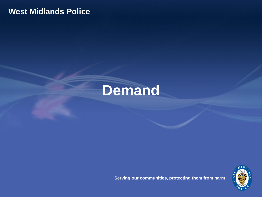### **Demand**

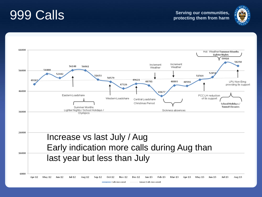

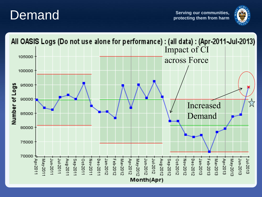#### Demand



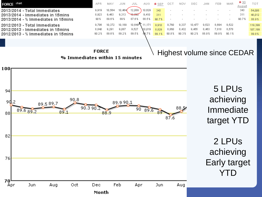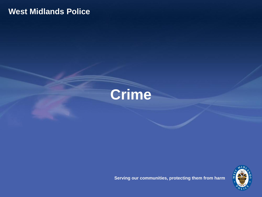

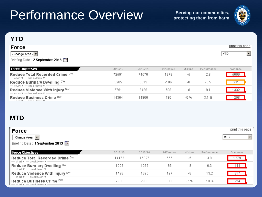# **Performance Overview** Serving our communities,



| <b>YTD</b>                                                                                                                                                                                                                                                 |         |         |            |         |             |                                    |
|------------------------------------------------------------------------------------------------------------------------------------------------------------------------------------------------------------------------------------------------------------|---------|---------|------------|---------|-------------|------------------------------------|
| <b>Force</b>                                                                                                                                                                                                                                               |         |         |            |         |             | print this page                    |
| - Change Area - ▼                                                                                                                                                                                                                                          |         |         |            |         |             | $\blacktriangledown$<br><b>YTD</b> |
| Briefing Date: 2 September 2013                                                                                                                                                                                                                            |         |         |            |         |             |                                    |
| <b>Force Objectives</b>                                                                                                                                                                                                                                    | 2012/13 | 2013/14 | Difference | M'stone | Performance | Variance                           |
| Reduce Total Recorded Crime DW<br>$-$ chart $\overline{\mathbf{v}}$ $-$ breakdown $\overline{\mathbf{v}}$                                                                                                                                                  | 72591   | 74570   | 1979       | -5      | 2.8         | 5609                               |
| Reduce Burglary Dwelling DW<br>$\rightarrow$ chart $\overline{\mathbf{r}}$ $\rightarrow$ breakdown $\overline{\mathbf{r}}$ .                                                                                                                               | 5205    | 5019    | $-186$     | -8      | $-3.5$      | 231                                |
| Reduce Violence With Injury DW<br>$-$ chart $\overline{\mathbf{v}}$ $-$ breakdown $\overline{\mathbf{v}}$                                                                                                                                                  | 7791    | 8499    | 708        | -8      | 9.1         | 1332                               |
| Reduce Business Crime DW<br>the concept of the contract of the contract of the contract of the contract of the contract of the contract of the contract of the contract of the contract of the contract of the contract of the contract of the contract of | 14364   | 14800   | 436        | $-6%$   | 3.1%        | 298                                |

#### **MTD**

| <b>Force</b><br>$\vert$ - Change Area - $\vert\mathbf{v}\vert$<br>Briefing Date: 1 September 2013                                                     |         |         |            |         |             | print this page<br>IMTD. |
|-------------------------------------------------------------------------------------------------------------------------------------------------------|---------|---------|------------|---------|-------------|--------------------------|
| <b>Force Objectives</b>                                                                                                                               | 2012/13 | 2013/14 | Difference | M'stone | Performance | Variance                 |
| Reduce Total Recorded Crime DW<br>$\overline{\phantom{a}}$ chart $\overline{\phantom{a}}$ $\overline{\phantom{a}}$ breakdown $\overline{\phantom{a}}$ | 14472   | 15027   | 555        | -5      | 3.9         | 1279                     |
| Reduce Burglary Dwelling DW<br>$-$ chart $\overline{\mathbf{r}}$ $-$ breakdown $\overline{\mathbf{r}}$                                                | 1002    | 1065    | 63         | $-8$    | 6.3         | 144                      |
| Reduce Violence With Injury DW<br>$-$ chart $\overline{\mathbf{v}}$ $-$ breakdown $\overline{\mathbf{v}}$                                             | 1498    | 1695    | 197        | $-8$    | 13.2        | 317                      |
| Reduce Business Crime DW<br>$\rightarrow$ chart $\overline{x}$ $\rightarrow$ breakdome $\overline{x}$ .                                               | 2900    | 2980    | 80         | $-6%$   | 2.8 %       | 254                      |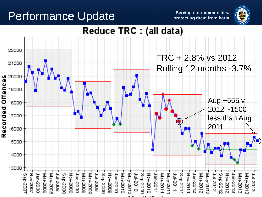#### **Performance Update** *Serving our communities,* **protecting them from harm**



#### Reduce TRC : (all data)

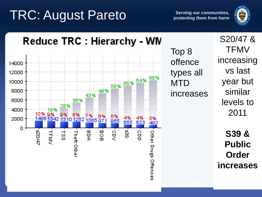# TRC: August Pareto



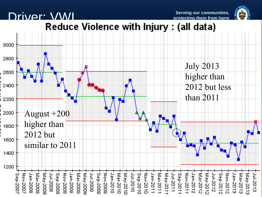



# **Serving our communities,**<br> **Priver: VVVII** *protecting them from harm*<br> **Reduce Violence with Injury: (all data)**

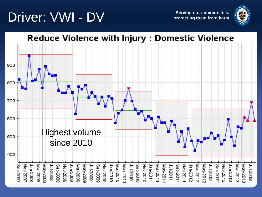### **Driver: VWI - DV** *Serving our communities,* **protecting them from harm**





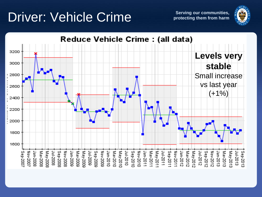#### **Driver: Vehicle Crime** Serving our communities,



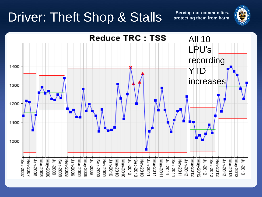# **Driver: Theft Shop & Stalls** Serving our communities,



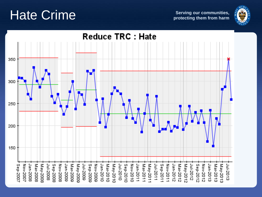### **Hate Crime Crime Serving our communities,**



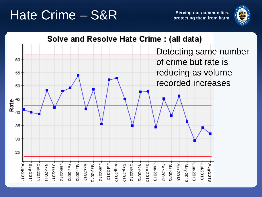#### Hate Crime – S&R



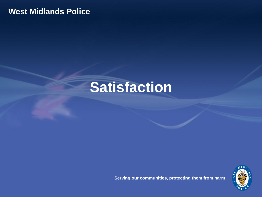# **Satisfaction**

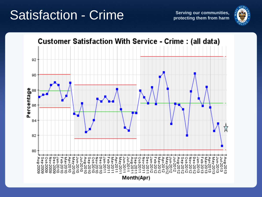### Satisfaction - Crime **Satisfaction** - Crime **Serving our communities**,



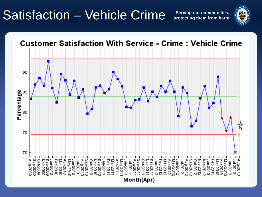### Satisfaction – Vehicle Crime **Serving our communities**,



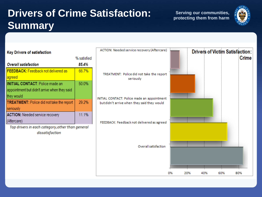#### **Drivers of Crime Satisfaction:** Serving our communities, **Summary**

agreed

they would

seriously

(Aftercare)